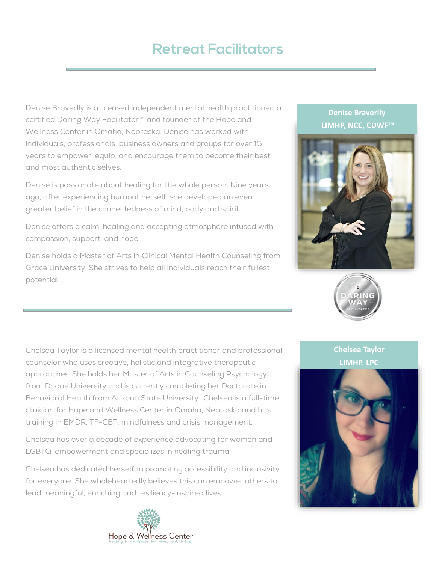## **Retreat Facilitators**

Denise Braverlly is a licensed independent mental health practitioner, a certified Daring Way Facilitator™ and founder of the Hope and Wellness Center in Omaha, Nebraska. Denise has worked with individuals, professionals, business owners and groups for over 15 years to empower, equip, and encourage them to become their best and most authentic selves.

Denise is passionate about healing for the whole person. Nine years ago, after experiencing burnout herself, she developed an even greater belief in the connectedness of mind, body and spirit.

Denise offers a calm, healing and accepting atmosphere infused with compassion, support, and hope.

Denise holds a Master of Arts in Clinical Mental Health Counseling from Grace University. She strives to help all individuals reach their fullest potential.

Chelsea Taylor is a licensed mental health practitioner and professional counselor who uses creative, holistic and integrative therapeutic approaches. She holds her Master of Arts in Counseling Psychology from Doane University and is currently completing her Doctorate in Behavioral Health from Arizona State University. Chelsea is a full-time clinician for Hope and Wellness Center in Omaha, Nebraska and has training in EMDR, TF-CBT, mindfulness and crisis management.

Chelsea has over a decade of experience advocating for women and LGBTQ empowerment and specializes in healing trauma.

Chelsea has dedicated herself to promoting accessibility and inclusivity for everyone. She wholeheartedly believes this can empower others to lead meaningful, enriching and resiliency-inspired lives.









## **Chelsea Taylor LIMHP, LPC**